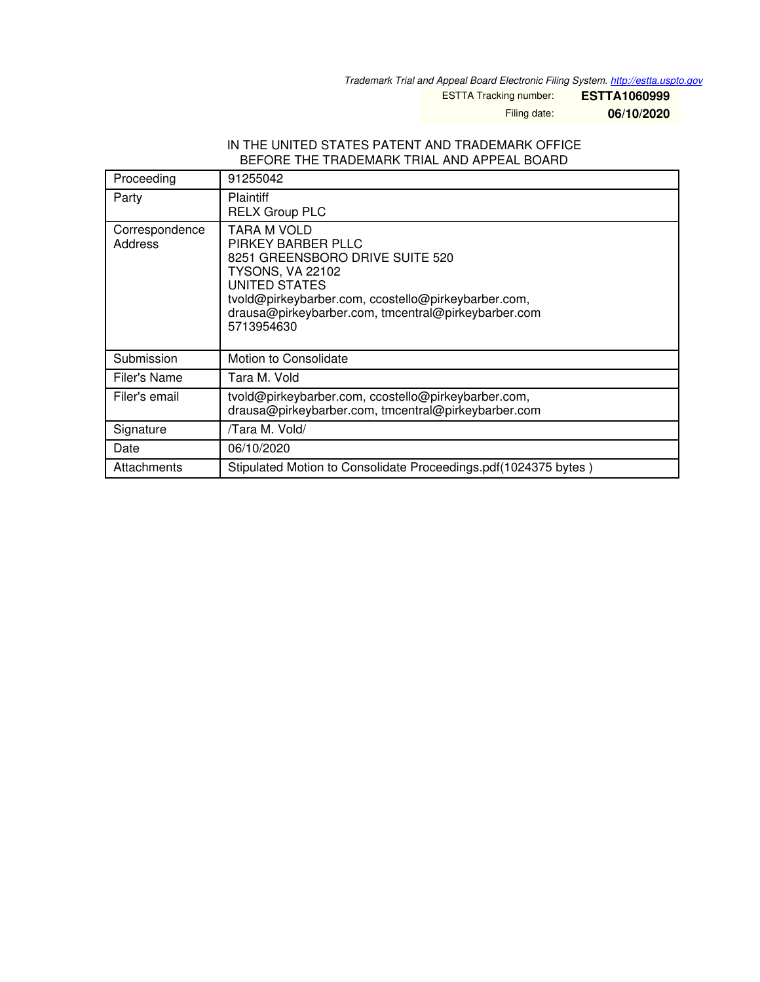*Trademark Trial and Appeal Board Electronic Filing System. <http://estta.uspto.gov>*

ESTTA Tracking number: **ESTTA1060999**

Filing date: **06/10/2020**

## IN THE UNITED STATES PATENT AND TRADEMARK OFFICE BEFORE THE TRADEMARK TRIAL AND APPEAL BOARD

| Proceeding                | 91255042                                                                                                                                                                                                                                     |
|---------------------------|----------------------------------------------------------------------------------------------------------------------------------------------------------------------------------------------------------------------------------------------|
| Party                     | <b>Plaintiff</b><br><b>RELX Group PLC</b>                                                                                                                                                                                                    |
| Correspondence<br>Address | TARA M VOLD<br>PIRKEY BARBER PLLC<br>8251 GREENSBORO DRIVE SUITE 520<br><b>TYSONS, VA 22102</b><br>UNITED STATES<br>tvold@pirkeybarber.com, ccostello@pirkeybarber.com,<br>drausa@pirkeybarber.com, tmcentral@pirkeybarber.com<br>5713954630 |
| Submission                | Motion to Consolidate                                                                                                                                                                                                                        |
| Filer's Name              | Tara M. Vold                                                                                                                                                                                                                                 |
| Filer's email             | tvold@pirkeybarber.com, ccostello@pirkeybarber.com,<br>drausa@pirkeybarber.com, tmcentral@pirkeybarber.com                                                                                                                                   |
| Signature                 | /Tara M. Vold/                                                                                                                                                                                                                               |
| Date                      | 06/10/2020                                                                                                                                                                                                                                   |
| Attachments               | Stipulated Motion to Consolidate Proceedings.pdf(1024375 bytes)                                                                                                                                                                              |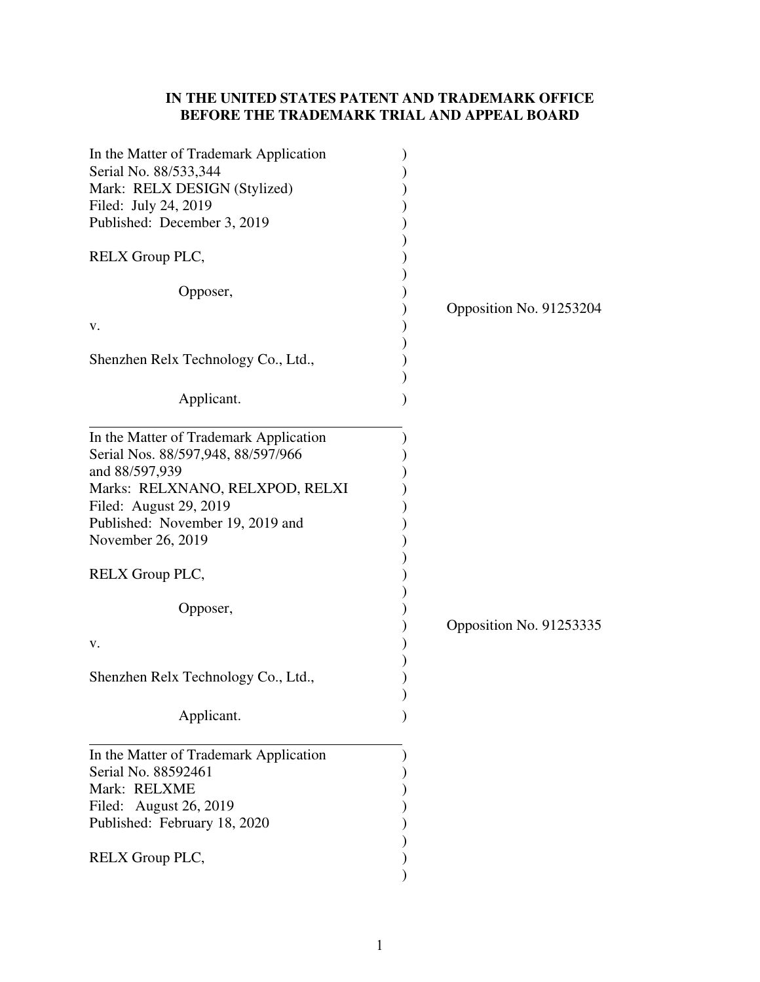## **IN THE UNITED STATES PATENT AND TRADEMARK OFFICE BEFORE THE TRADEMARK TRIAL AND APPEAL BOARD**

| In the Matter of Trademark Application<br>Serial No. 88/533,344<br>Mark: RELX DESIGN (Stylized)<br>Filed: July 24, 2019<br>Published: December 3, 2019                                                               |                         |
|----------------------------------------------------------------------------------------------------------------------------------------------------------------------------------------------------------------------|-------------------------|
| RELX Group PLC,                                                                                                                                                                                                      |                         |
| Opposer,                                                                                                                                                                                                             |                         |
| v.                                                                                                                                                                                                                   | Opposition No. 91253204 |
| Shenzhen Relx Technology Co., Ltd.,                                                                                                                                                                                  |                         |
| Applicant.                                                                                                                                                                                                           |                         |
| In the Matter of Trademark Application<br>Serial Nos. 88/597,948, 88/597/966<br>and 88/597,939<br>Marks: RELXNANO, RELXPOD, RELXI<br>Filed: August 29, 2019<br>Published: November 19, 2019 and<br>November 26, 2019 |                         |
| RELX Group PLC,                                                                                                                                                                                                      |                         |
| Opposer,<br>v.                                                                                                                                                                                                       | Opposition No. 91253335 |
| Shenzhen Relx Technology Co., Ltd.,                                                                                                                                                                                  |                         |
| Applicant.                                                                                                                                                                                                           |                         |
| In the Matter of Trademark Application<br>Serial No. 88592461<br>Mark: RELXME<br>Filed: August 26, 2019<br>Published: February 18, 2020<br>RELX Group PLC,                                                           |                         |
|                                                                                                                                                                                                                      |                         |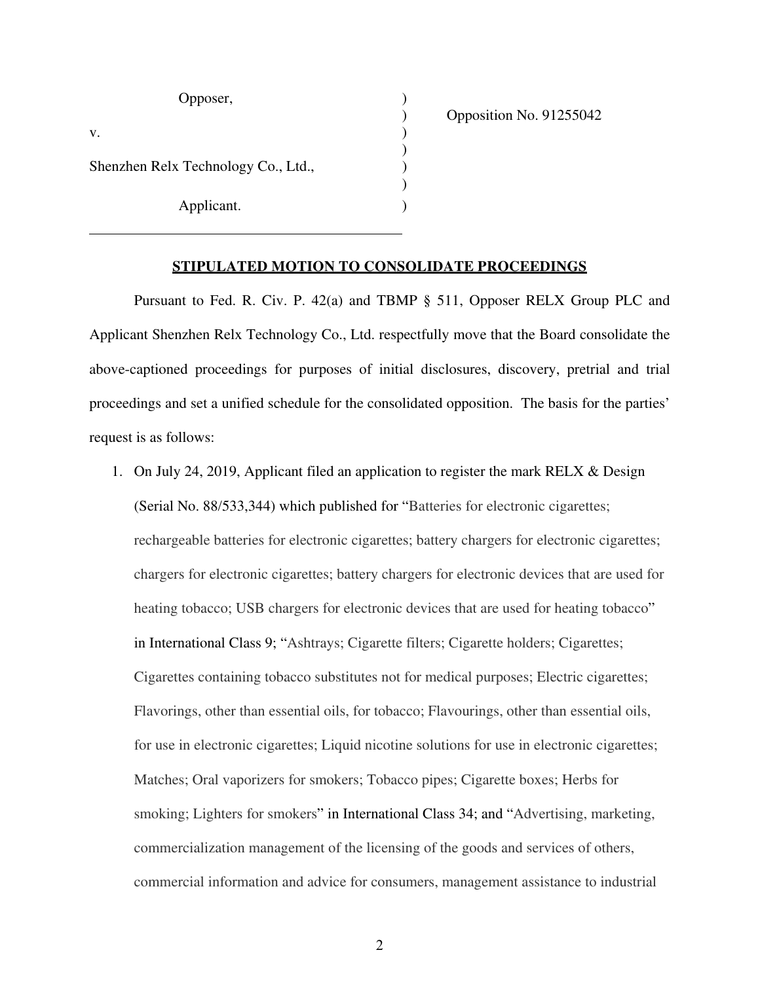| Opposer,                            |  |
|-------------------------------------|--|
| V.                                  |  |
| Shenzhen Relx Technology Co., Ltd., |  |
| Applicant.                          |  |

) Opposition No. 91255042

## **STIPULATED MOTION TO CONSOLIDATE PROCEEDINGS**

Pursuant to Fed. R. Civ. P. 42(a) and TBMP § 511, Opposer RELX Group PLC and Applicant Shenzhen Relx Technology Co., Ltd. respectfully move that the Board consolidate the above-captioned proceedings for purposes of initial disclosures, discovery, pretrial and trial proceedings and set a unified schedule for the consolidated opposition. The basis for the parties' request is as follows:

1. On July 24, 2019, Applicant filed an application to register the mark RELX & Design (Serial No. 88/533,344) which published for "Batteries for electronic cigarettes; rechargeable batteries for electronic cigarettes; battery chargers for electronic cigarettes; chargers for electronic cigarettes; battery chargers for electronic devices that are used for heating tobacco; USB chargers for electronic devices that are used for heating tobacco" in International Class 9; "Ashtrays; Cigarette filters; Cigarette holders; Cigarettes; Cigarettes containing tobacco substitutes not for medical purposes; Electric cigarettes; Flavorings, other than essential oils, for tobacco; Flavourings, other than essential oils, for use in electronic cigarettes; Liquid nicotine solutions for use in electronic cigarettes; Matches; Oral vaporizers for smokers; Tobacco pipes; Cigarette boxes; Herbs for smoking; Lighters for smokers" in International Class 34; and "Advertising, marketing, commercialization management of the licensing of the goods and services of others, commercial information and advice for consumers, management assistance to industrial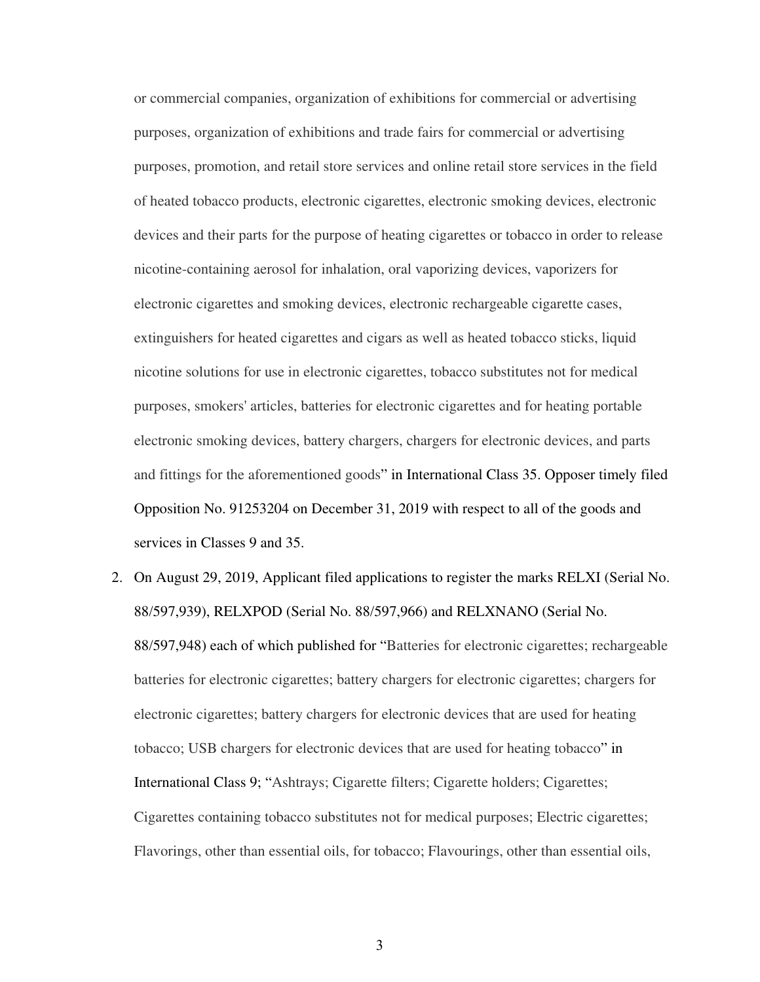or commercial companies, organization of exhibitions for commercial or advertising purposes, organization of exhibitions and trade fairs for commercial or advertising purposes, promotion, and retail store services and online retail store services in the field of heated tobacco products, electronic cigarettes, electronic smoking devices, electronic devices and their parts for the purpose of heating cigarettes or tobacco in order to release nicotine-containing aerosol for inhalation, oral vaporizing devices, vaporizers for electronic cigarettes and smoking devices, electronic rechargeable cigarette cases, extinguishers for heated cigarettes and cigars as well as heated tobacco sticks, liquid nicotine solutions for use in electronic cigarettes, tobacco substitutes not for medical purposes, smokers' articles, batteries for electronic cigarettes and for heating portable electronic smoking devices, battery chargers, chargers for electronic devices, and parts and fittings for the aforementioned goods" in International Class 35. Opposer timely filed Opposition No. 91253204 on December 31, 2019 with respect to all of the goods and services in Classes 9 and 35.

2. On August 29, 2019, Applicant filed applications to register the marks RELXI (Serial No. 88/597,939), RELXPOD (Serial No. 88/597,966) and RELXNANO (Serial No. 88/597,948) each of which published for "Batteries for electronic cigarettes; rechargeable batteries for electronic cigarettes; battery chargers for electronic cigarettes; chargers for electronic cigarettes; battery chargers for electronic devices that are used for heating tobacco; USB chargers for electronic devices that are used for heating tobacco" in International Class 9; "Ashtrays; Cigarette filters; Cigarette holders; Cigarettes; Cigarettes containing tobacco substitutes not for medical purposes; Electric cigarettes; Flavorings, other than essential oils, for tobacco; Flavourings, other than essential oils,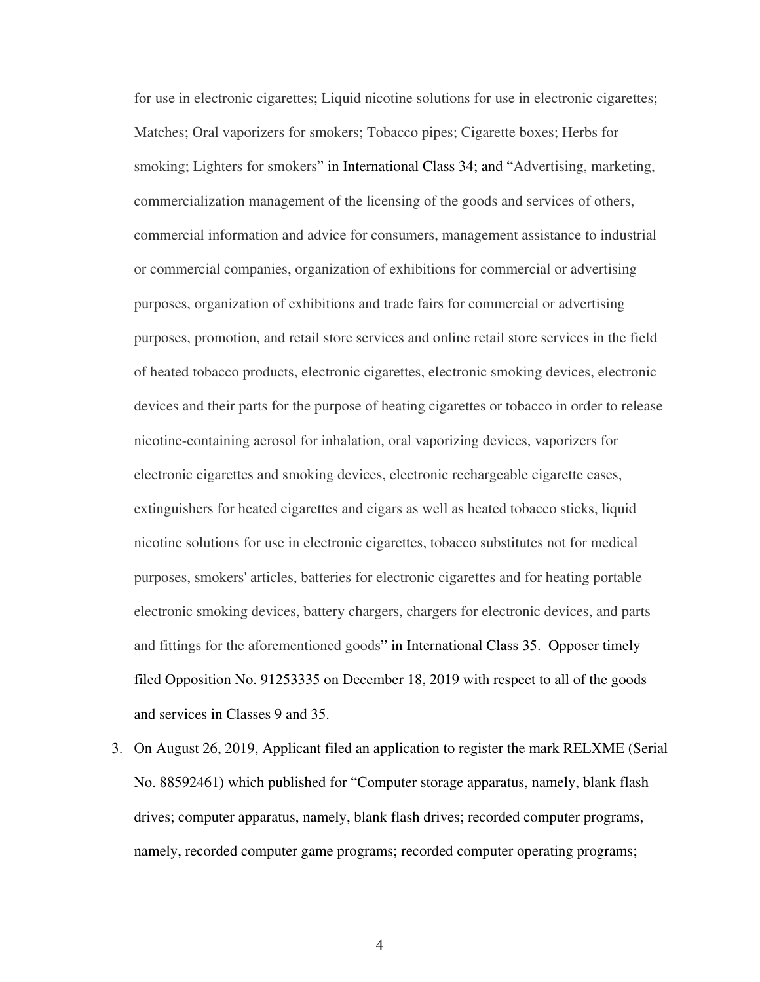for use in electronic cigarettes; Liquid nicotine solutions for use in electronic cigarettes; Matches; Oral vaporizers for smokers; Tobacco pipes; Cigarette boxes; Herbs for smoking; Lighters for smokers" in International Class 34; and "Advertising, marketing, commercialization management of the licensing of the goods and services of others, commercial information and advice for consumers, management assistance to industrial or commercial companies, organization of exhibitions for commercial or advertising purposes, organization of exhibitions and trade fairs for commercial or advertising purposes, promotion, and retail store services and online retail store services in the field of heated tobacco products, electronic cigarettes, electronic smoking devices, electronic devices and their parts for the purpose of heating cigarettes or tobacco in order to release nicotine-containing aerosol for inhalation, oral vaporizing devices, vaporizers for electronic cigarettes and smoking devices, electronic rechargeable cigarette cases, extinguishers for heated cigarettes and cigars as well as heated tobacco sticks, liquid nicotine solutions for use in electronic cigarettes, tobacco substitutes not for medical purposes, smokers' articles, batteries for electronic cigarettes and for heating portable electronic smoking devices, battery chargers, chargers for electronic devices, and parts and fittings for the aforementioned goods" in International Class 35. Opposer timely filed Opposition No. 91253335 on December 18, 2019 with respect to all of the goods and services in Classes 9 and 35.

3. On August 26, 2019, Applicant filed an application to register the mark RELXME (Serial No. 88592461) which published for "Computer storage apparatus, namely, blank flash drives; computer apparatus, namely, blank flash drives; recorded computer programs, namely, recorded computer game programs; recorded computer operating programs;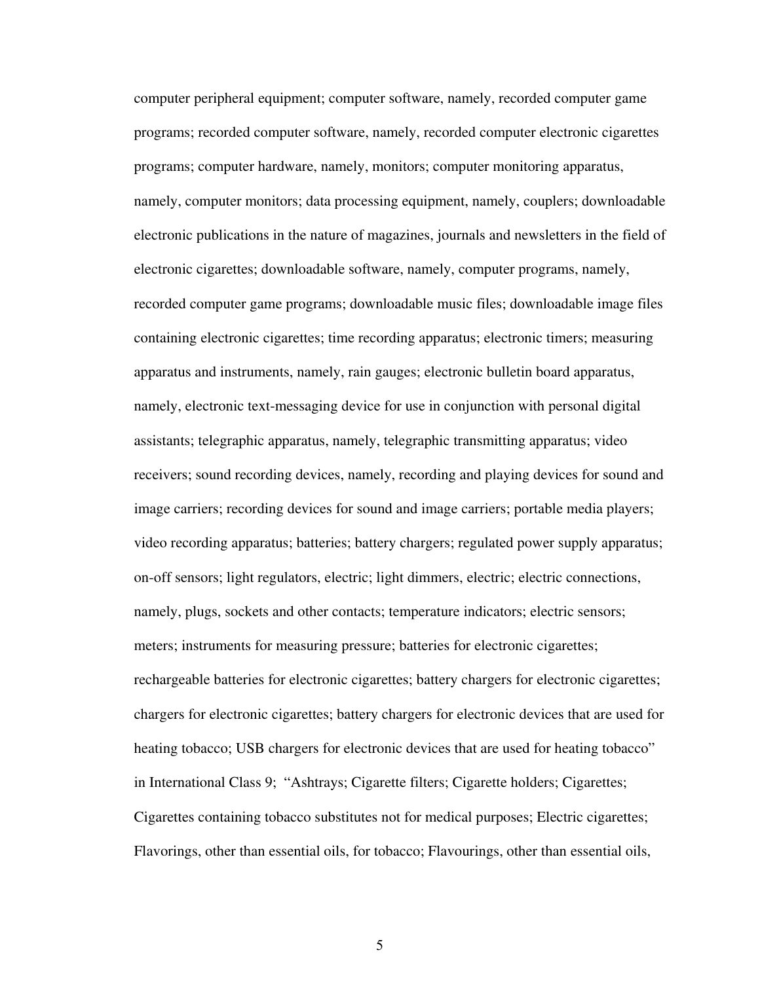computer peripheral equipment; computer software, namely, recorded computer game programs; recorded computer software, namely, recorded computer electronic cigarettes programs; computer hardware, namely, monitors; computer monitoring apparatus, namely, computer monitors; data processing equipment, namely, couplers; downloadable electronic publications in the nature of magazines, journals and newsletters in the field of electronic cigarettes; downloadable software, namely, computer programs, namely, recorded computer game programs; downloadable music files; downloadable image files containing electronic cigarettes; time recording apparatus; electronic timers; measuring apparatus and instruments, namely, rain gauges; electronic bulletin board apparatus, namely, electronic text-messaging device for use in conjunction with personal digital assistants; telegraphic apparatus, namely, telegraphic transmitting apparatus; video receivers; sound recording devices, namely, recording and playing devices for sound and image carriers; recording devices for sound and image carriers; portable media players; video recording apparatus; batteries; battery chargers; regulated power supply apparatus; on-off sensors; light regulators, electric; light dimmers, electric; electric connections, namely, plugs, sockets and other contacts; temperature indicators; electric sensors; meters; instruments for measuring pressure; batteries for electronic cigarettes; rechargeable batteries for electronic cigarettes; battery chargers for electronic cigarettes; chargers for electronic cigarettes; battery chargers for electronic devices that are used for heating tobacco; USB chargers for electronic devices that are used for heating tobacco" in International Class 9; "Ashtrays; Cigarette filters; Cigarette holders; Cigarettes; Cigarettes containing tobacco substitutes not for medical purposes; Electric cigarettes; Flavorings, other than essential oils, for tobacco; Flavourings, other than essential oils,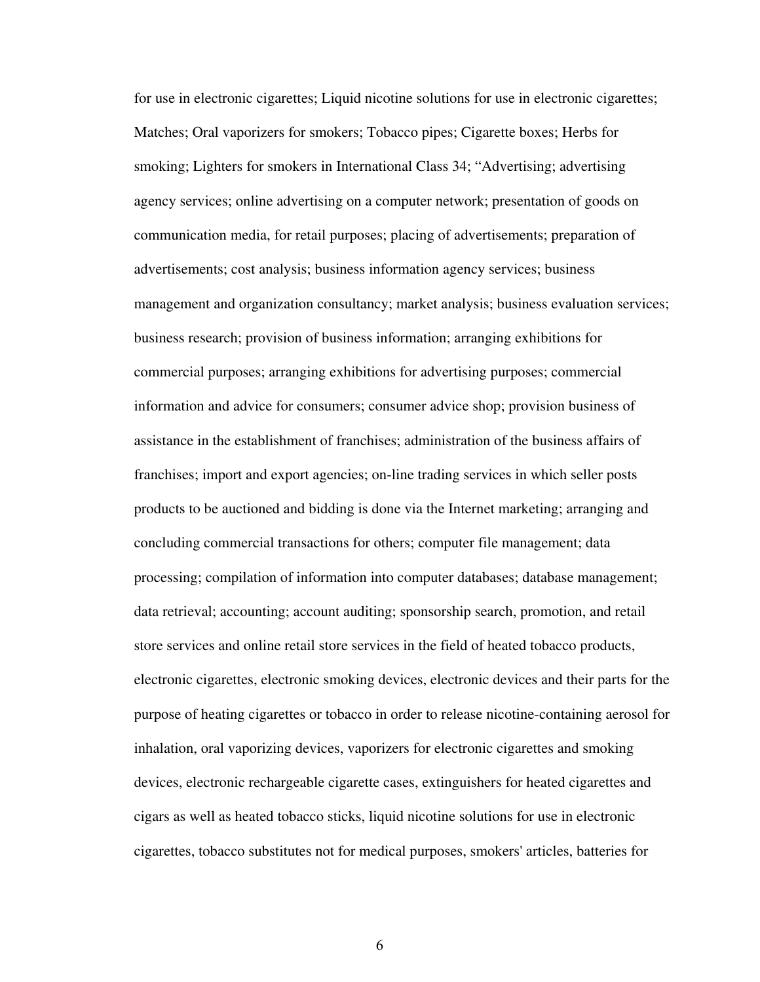for use in electronic cigarettes; Liquid nicotine solutions for use in electronic cigarettes; Matches; Oral vaporizers for smokers; Tobacco pipes; Cigarette boxes; Herbs for smoking; Lighters for smokers in International Class 34; "Advertising; advertising agency services; online advertising on a computer network; presentation of goods on communication media, for retail purposes; placing of advertisements; preparation of advertisements; cost analysis; business information agency services; business management and organization consultancy; market analysis; business evaluation services; business research; provision of business information; arranging exhibitions for commercial purposes; arranging exhibitions for advertising purposes; commercial information and advice for consumers; consumer advice shop; provision business of assistance in the establishment of franchises; administration of the business affairs of franchises; import and export agencies; on-line trading services in which seller posts products to be auctioned and bidding is done via the Internet marketing; arranging and concluding commercial transactions for others; computer file management; data processing; compilation of information into computer databases; database management; data retrieval; accounting; account auditing; sponsorship search, promotion, and retail store services and online retail store services in the field of heated tobacco products, electronic cigarettes, electronic smoking devices, electronic devices and their parts for the purpose of heating cigarettes or tobacco in order to release nicotine-containing aerosol for inhalation, oral vaporizing devices, vaporizers for electronic cigarettes and smoking devices, electronic rechargeable cigarette cases, extinguishers for heated cigarettes and cigars as well as heated tobacco sticks, liquid nicotine solutions for use in electronic cigarettes, tobacco substitutes not for medical purposes, smokers' articles, batteries for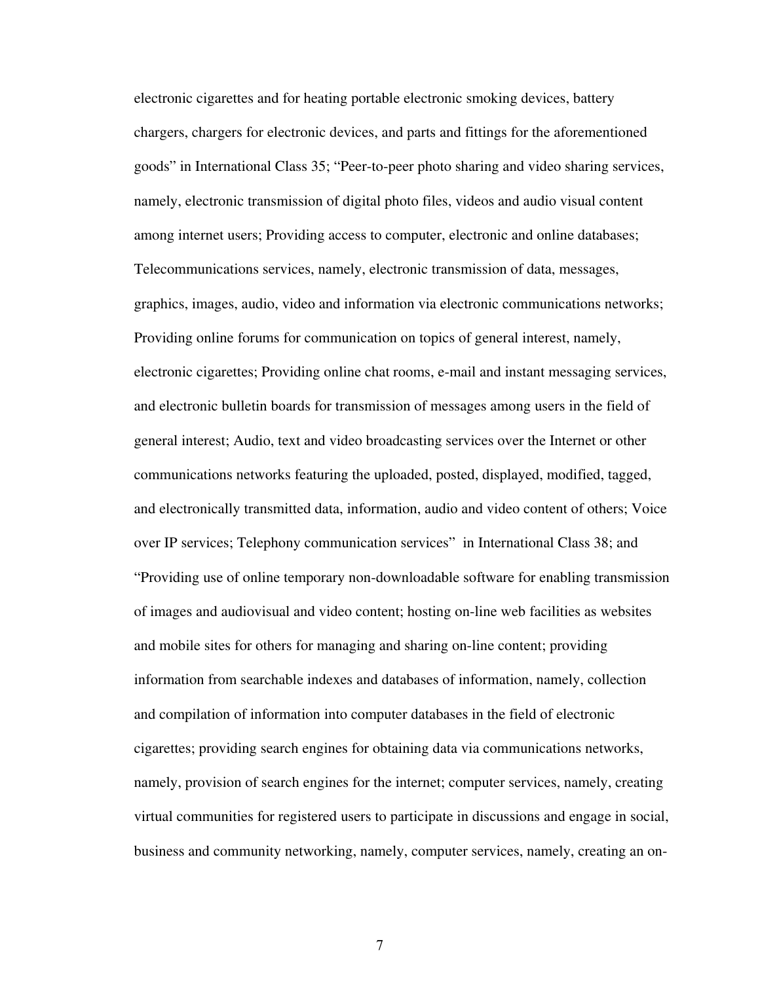electronic cigarettes and for heating portable electronic smoking devices, battery chargers, chargers for electronic devices, and parts and fittings for the aforementioned goods" in International Class 35; "Peer-to-peer photo sharing and video sharing services, namely, electronic transmission of digital photo files, videos and audio visual content among internet users; Providing access to computer, electronic and online databases; Telecommunications services, namely, electronic transmission of data, messages, graphics, images, audio, video and information via electronic communications networks; Providing online forums for communication on topics of general interest, namely, electronic cigarettes; Providing online chat rooms, e-mail and instant messaging services, and electronic bulletin boards for transmission of messages among users in the field of general interest; Audio, text and video broadcasting services over the Internet or other communications networks featuring the uploaded, posted, displayed, modified, tagged, and electronically transmitted data, information, audio and video content of others; Voice over IP services; Telephony communication services" in International Class 38; and "Providing use of online temporary non-downloadable software for enabling transmission of images and audiovisual and video content; hosting on-line web facilities as websites and mobile sites for others for managing and sharing on-line content; providing information from searchable indexes and databases of information, namely, collection and compilation of information into computer databases in the field of electronic cigarettes; providing search engines for obtaining data via communications networks, namely, provision of search engines for the internet; computer services, namely, creating virtual communities for registered users to participate in discussions and engage in social, business and community networking, namely, computer services, namely, creating an on-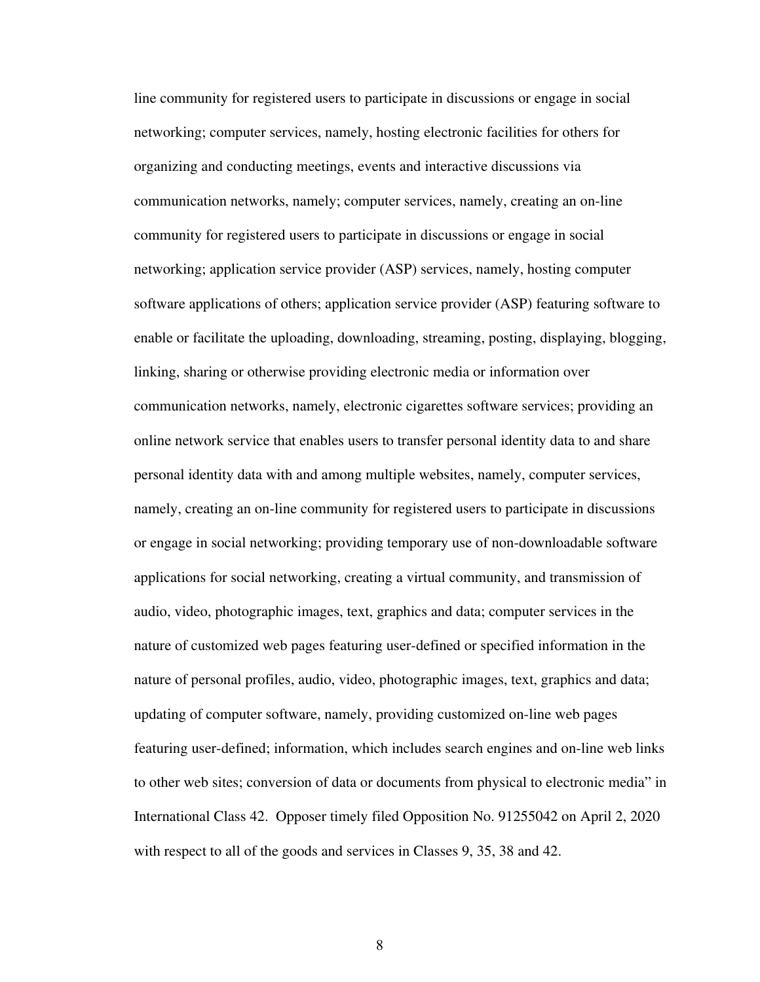line community for registered users to participate in discussions or engage in social networking; computer services, namely, hosting electronic facilities for others for organizing and conducting meetings, events and interactive discussions via communication networks, namely; computer services, namely, creating an on-line community for registered users to participate in discussions or engage in social networking; application service provider (ASP) services, namely, hosting computer software applications of others; application service provider (ASP) featuring software to enable or facilitate the uploading, downloading, streaming, posting, displaying, blogging, linking, sharing or otherwise providing electronic media or information over communication networks, namely, electronic cigarettes software services; providing an online network service that enables users to transfer personal identity data to and share personal identity data with and among multiple websites, namely, computer services, namely, creating an on-line community for registered users to participate in discussions or engage in social networking; providing temporary use of non-downloadable software applications for social networking, creating a virtual community, and transmission of audio, video, photographic images, text, graphics and data; computer services in the nature of customized web pages featuring user-defined or specified information in the nature of personal profiles, audio, video, photographic images, text, graphics and data; updating of computer software, namely, providing customized on-line web pages featuring user-defined; information, which includes search engines and on-line web links to other web sites; conversion of data or documents from physical to electronic media" in International Class 42. Opposer timely filed Opposition No. 91255042 on April 2, 2020 with respect to all of the goods and services in Classes 9, 35, 38 and 42.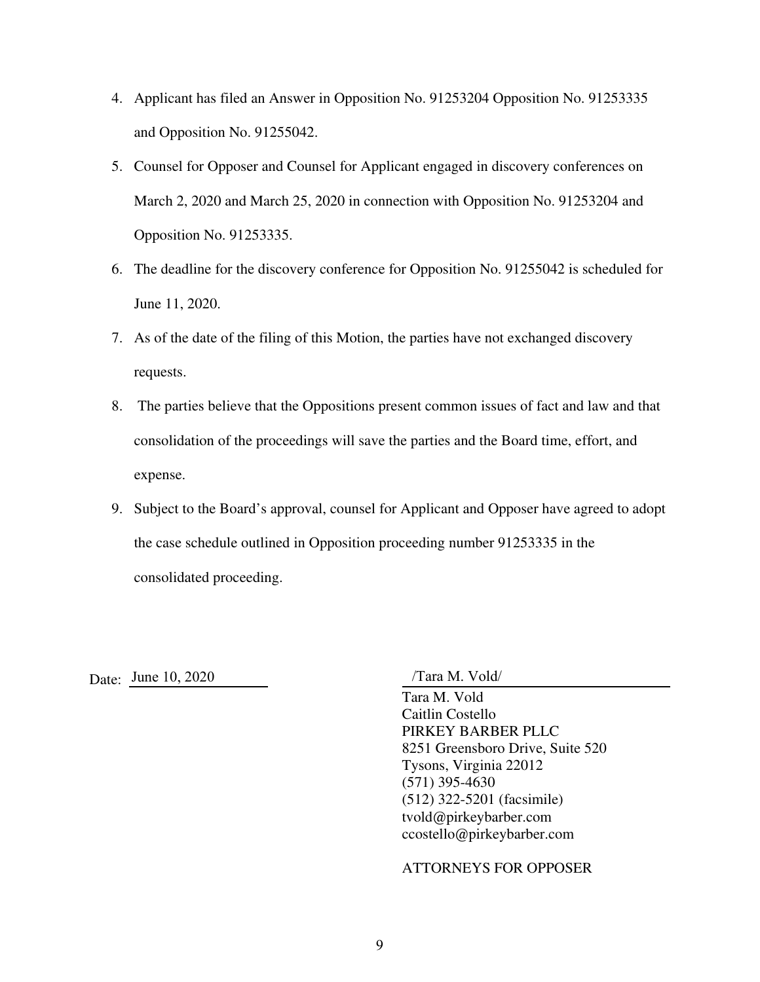- 4. Applicant has filed an Answer in Opposition No. 91253204 Opposition No. 91253335 and Opposition No. 91255042.
- 5. Counsel for Opposer and Counsel for Applicant engaged in discovery conferences on March 2, 2020 and March 25, 2020 in connection with Opposition No. 91253204 and Opposition No. 91253335.
- 6. The deadline for the discovery conference for Opposition No. 91255042 is scheduled for June 11, 2020.
- 7. As of the date of the filing of this Motion, the parties have not exchanged discovery requests.
- 8. The parties believe that the Oppositions present common issues of fact and law and that consolidation of the proceedings will save the parties and the Board time, effort, and expense.
- 9. Subject to the Board's approval, counsel for Applicant and Opposer have agreed to adopt the case schedule outlined in Opposition proceeding number 91253335 in the consolidated proceeding.

Date: <u>June 10, 2020</u> /Tara M. Vold/

Tara M. Vold Caitlin Costello PIRKEY BARBER PLLC 8251 Greensboro Drive, Suite 520 Tysons, Virginia 22012 (571) 395-4630 (512) 322-5201 (facsimile) tvold@pirkeybarber.com ccostello@pirkeybarber.com

ATTORNEYS FOR OPPOSER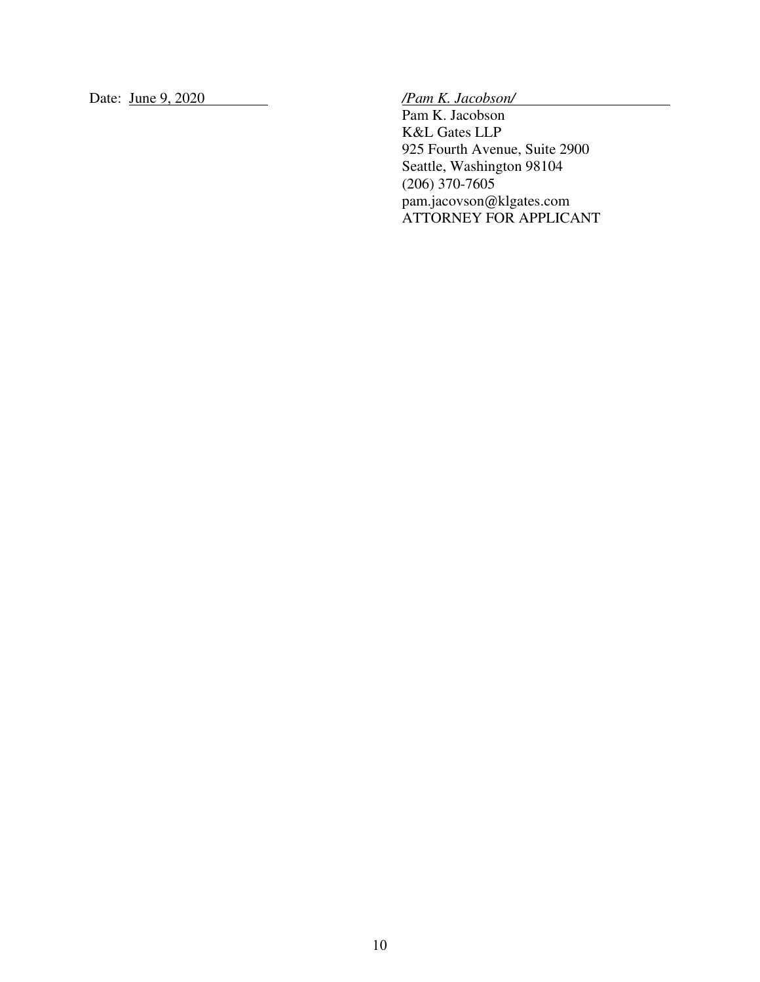Date: June 9, 2020 */Pam K. Jacobson/*

Pam K. Jacobson K&L Gates LLP 925 Fourth Avenue, Suite 2900 Seattle, Washington 98104 (206) 370-7605 pam.jacovson@klgates.com ATTORNEY FOR APPLICANT